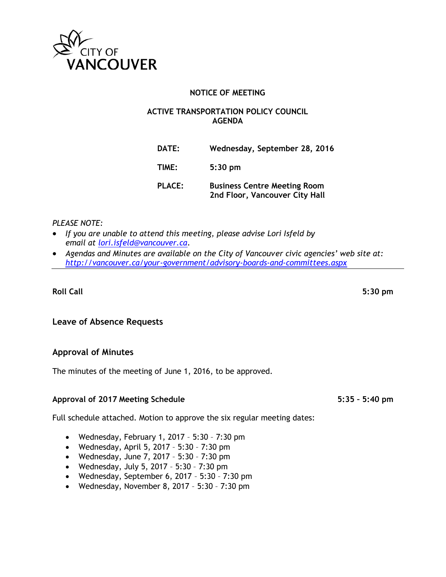

## **NOTICE OF MEETING**

#### **ACTIVE TRANSPORTATION POLICY COUNCIL AGENDA**

| <b>DATE:</b>  | Wednesday, September 28, 2016                                         |
|---------------|-----------------------------------------------------------------------|
| TIME:         | $5:30$ pm                                                             |
| <b>PLACE:</b> | <b>Business Centre Meeting Room</b><br>2nd Floor, Vancouver City Hall |

#### *PLEASE NOTE:*

- *If you are unable to attend this meeting, please advise Lori Isfeld by email at [lori.isfeld@vancouver.ca.](mailto:lori.isfeld@vancouver.ca)*
- *Agendas and Minutes are available on the City of Vancouver civic agencies' web site at: <http://vancouver.ca/your-government/advisory-boards-and-committees.aspx>*

## **Roll Call 5:30 pm**

**Leave of Absence Requests**

### **Approval of Minutes**

The minutes of the meeting of June 1, 2016, to be approved.

### **Approval of 2017 Meeting Schedule 5:35 – 5:40 pm**

Full schedule attached. Motion to approve the six regular meeting dates:

- Wednesday, February 1, 2017 5:30 7:30 pm
- Wednesday, April 5, 2017 5:30 7:30 pm
- Wednesday, June 7, 2017 5:30 7:30 pm
- Wednesday, July 5, 2017 5:30 7:30 pm
- Wednesday, September 6, 2017 5:30 7:30 pm
- Wednesday, November 8, 2017 5:30 7:30 pm